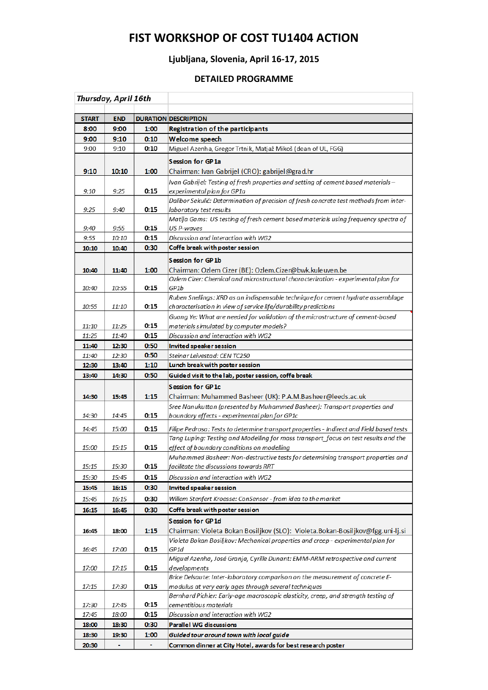## **FIST WORKSHOP OF COST TU1404 ACTION**

## **Ljubljana, Slovenia, April 16-17, 2015**

## **DETAILED PROGRAMME**

| Thursday, April 16th |            |      |                                                                                               |
|----------------------|------------|------|-----------------------------------------------------------------------------------------------|
|                      |            |      |                                                                                               |
| <b>START</b>         | <b>END</b> |      | <b>DURATION DESCRIPTION</b>                                                                   |
| 8:00                 | 9:00       | 1:00 | <b>Registration of the participants</b>                                                       |
| 9:00                 | 9:10       | 0:10 | Welcome speech                                                                                |
| 9:00                 | 9:10       | 0:10 | Miguel Azenha, Gregor Trtnik, Matjaž Mikoš (dean of UL, FGG)                                  |
|                      |            |      | <b>Session for GP1a</b>                                                                       |
| 9:10                 | 10:10      | 1:00 | Chairman: Ivan Gabrijel (CRO): gabrijel@grad.hr                                               |
|                      |            |      | Ivan Gabrijel: Testing of fresh properties and setting of cement based materials –            |
| 9:10                 | 9:25       | 0:15 | experimental plan for GP1a                                                                    |
|                      |            |      | Dalibor Sekulić: Determination of precision of fresh concrete test methods from inter-        |
| 9:25                 | 9:40       | 0:15 | laboratory test results                                                                       |
|                      |            |      | Matija Gams: US testing of fresh cement based materials using frequency spectra of            |
| 9:40                 | 9:55       | 0:15 | US P-waves                                                                                    |
| 9:55                 | 10:10      | 0:15 | Discussion and interaction with WG2                                                           |
| 10:10                | 10:40      | 0:30 | Coffe break with poster session                                                               |
|                      |            |      | <b>Session for GP1b</b>                                                                       |
| 10:40                | 11:40      | 1:00 | Chairman: Ozlem Cizer (BE): Ozlem.Cizer@bwk.kuleuven.be                                       |
|                      |            |      | Ozlem Cizer: Chemical and microstructural characterization - experimental plan for            |
| 10:40                | 10:55      | 0:15 | GP1b<br>Ruben Snellings: XRD as an indispensable technique for cement hydrate assemblage      |
| 10:55                | 11:10      | 0:15 | characterisation in view of service life/durability predictions                               |
|                      |            |      | Guang Ye: What are needed for validation of the microstructure of cement-based                |
| 11:10                | 11:25      | 0:15 | materials simulated by computer models?                                                       |
| 11:25                | 11:40      | 0:15 | Discussion and interaction with WG2                                                           |
| 11:40                | 12:30      | 0:50 | Invited speaker session                                                                       |
| 11:40                | 12:30      | 0:50 | Steinar Leivestad: CEN TC250                                                                  |
| 12:30                | 13:40      | 1:10 | Lunch break with poster session                                                               |
| 13:40                | 14:30      | 0:50 | Guided visit to the lab, poster session, coffe break                                          |
|                      |            |      |                                                                                               |
|                      |            |      |                                                                                               |
|                      |            |      | <b>Session for GP1c</b>                                                                       |
| 14:30                | 15:45      | 1:15 | Chairman: Muhammed Basheer (UK): P.A.M.Basheer@leeds.ac.uk                                    |
| 14:30                | 14:45      | 0:15 | Sree Nanukuttan (presented by Muhammed Basheer): Transport properties and                     |
|                      |            |      | boundary effects - experimental plan for GP1c                                                 |
| 14:45                | 15:00      | 0:15 | Filipe Pedrosa: Tests to determine transport properties - Indirect and Field based tests      |
|                      |            |      | Tang Luping: Testing and Modelling for mass transport_focus on test results and the           |
| 15:00                | 15:15      | 0:15 | effect of boundary conditions on modelling                                                    |
|                      |            |      | Muhammed Basheer: Non-destructive tests for determining transport properties and              |
| 15:15                | 15:30      | 0:15 | facilitate the discussions towards RRT                                                        |
| 15:30                | 15:45      | 0:15 | Discussion and interaction with WG2                                                           |
| 15:45                | 16:15      | 0:30 | Invited speaker session                                                                       |
| 15:45                | 16:15      | 0:30 | Willem Stenfert Kroesse: ConSensor - from idea to the market                                  |
| 16:15                | 16:45      | 0:30 | Coffe break with poster session                                                               |
|                      |            |      | <b>Session for GP1d</b>                                                                       |
| 16:45                | 18:00      | 1:15 | Chairman: Violeta Bokan Bosiljkov (SLO): Violeta.Bokan-Bosiljkov@fgg.uni-lj.si                |
|                      |            |      | Violeta Bokan Bosiljkov: Mechanical properties and creep - experimental plan for              |
| 16:45                | 17:00      | 0:15 | GP1d                                                                                          |
| 17:00                |            | 0:15 | Miguel Azenha, José Granja, Cyrille Dunant: EMM-ARM retrospective and current                 |
|                      | 17:15      |      | developments<br>Brice Delsaute: Inter-laboratory comparison on the measurement of concrete E- |
| 17:15                | 17:30      | 0:15 | modulus at very early ages through several techniques                                         |
|                      |            |      | Bernhard Pichler: Early-age macroscopic elasticity, creep, and strength testing of            |
| 17:30                | 17:45      | 0:15 | cementitious materials                                                                        |
| 17:45                | 18:00      | 0:15 | Discussion and interaction with WG2                                                           |
| 18:00                | 18:30      | 0:30 | <b>Parallel WG discussions</b>                                                                |
| 18:30                | 19:30      | 1:00 | Guided tour around town with local guide                                                      |